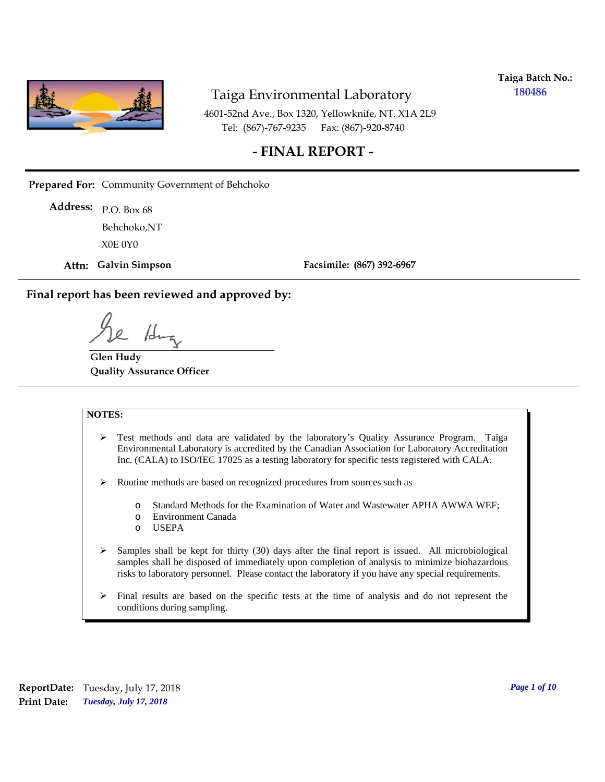

**Taiga Batch No.: 180486**

4601-52nd Ave., Box 1320, Yellowknife, NT. X1A 2L9 Tel: (867)-767-9235 Fax: (867)-920-8740

### **- FINAL REPORT -**

**Prepared For:** Community Government of Behchoko

P.O. Box 68 **Address:** X0E 0Y0 Behchoko,NT

**Attn: Galvin Simpson**

**Facsimile: (867) 392-6967**

**Final report has been reviewed and approved by:**

1du

**Glen Hudy Quality Assurance Officer**

#### **NOTES:**

- $\triangleright$  Test methods and data are validated by the laboratory's Quality Assurance Program. Taiga Environmental Laboratory is accredited by the Canadian Association for Laboratory Accreditation Inc. (CALA) to ISO/IEC 17025 as a testing laboratory for specific tests registered with CALA.
- Routine methods are based on recognized procedures from sources such as
	- o Standard Methods for the Examination of Water and Wastewater APHA AWWA WEF;
	- o Environment Canada
	- o USEPA
- $\triangleright$  Samples shall be kept for thirty (30) days after the final report is issued. All microbiological samples shall be disposed of immediately upon completion of analysis to minimize biohazardous risks to laboratory personnel. Please contact the laboratory if you have any special requirements.
- $\triangleright$  Final results are based on the specific tests at the time of analysis and do not represent the conditions during sampling.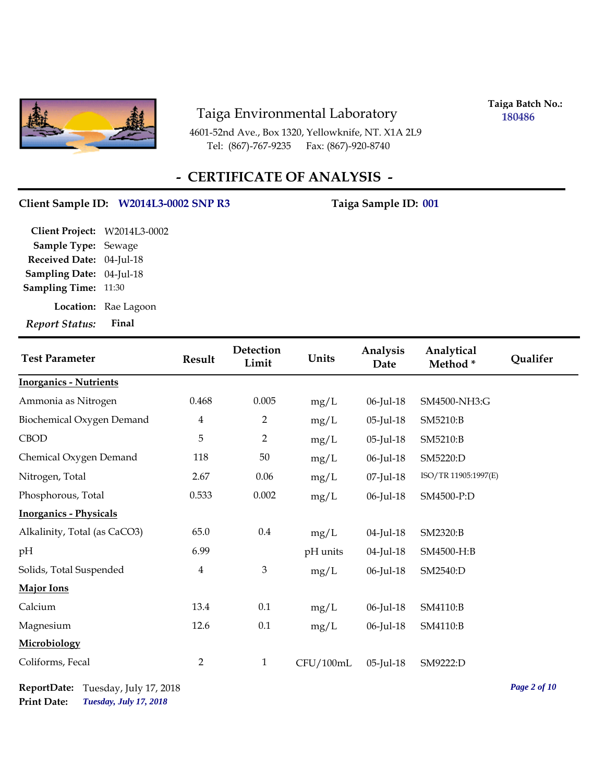

4601-52nd Ave., Box 1320, Yellowknife, NT. X1A 2L9 Tel: (867)-767-9235 Fax: (867)-920-8740

**Taiga Batch No.: 180486**

# **- CERTIFICATE OF ANALYSIS -**

#### Client Sample ID: W2014L3-0002 SNP R3 Taiga Sample ID: 001

| <b>Report Status:</b>        | Final                |
|------------------------------|----------------------|
|                              | Location: Rae Lagoon |
| <b>Sampling Time: 11:30</b>  |                      |
| Sampling Date: 04-Jul-18     |                      |
| Received Date: 04-Jul-18     |                      |
| <b>Sample Type: Sewage</b>   |                      |
| Client Project: W2014L3-0002 |                      |

| <b>Test Parameter</b>         | <b>Result</b>           | Detection<br>Limit | Units     | Analysis<br>Date | Analytical<br>Method* | Qualifer |
|-------------------------------|-------------------------|--------------------|-----------|------------------|-----------------------|----------|
| <b>Inorganics - Nutrients</b> |                         |                    |           |                  |                       |          |
| Ammonia as Nitrogen           | 0.468                   | 0.005              | mg/L      | 06-Jul-18        | SM4500-NH3:G          |          |
| Biochemical Oxygen Demand     | $\overline{\mathbf{4}}$ | $\overline{2}$     | mg/L      | 05-Jul-18        | SM5210:B              |          |
| <b>CBOD</b>                   | 5                       | $\overline{2}$     | mg/L      | 05-Jul-18        | SM5210:B              |          |
| Chemical Oxygen Demand        | 118                     | 50                 | mg/L      | 06-Jul-18        | SM5220:D              |          |
| Nitrogen, Total               | 2.67                    | 0.06               | mg/L      | 07-Jul-18        | ISO/TR 11905:1997(E)  |          |
| Phosphorous, Total            | 0.533                   | 0.002              | mg/L      | 06-Jul-18        | SM4500-P:D            |          |
| <b>Inorganics - Physicals</b> |                         |                    |           |                  |                       |          |
| Alkalinity, Total (as CaCO3)  | 65.0                    | $0.4\,$            | mg/L      | 04-Jul-18        | SM2320:B              |          |
| pH                            | 6.99                    |                    | pH units  | 04-Jul-18        | SM4500-H:B            |          |
| Solids, Total Suspended       | $\overline{4}$          | 3                  | mg/L      | 06-Jul-18        | SM2540:D              |          |
| <b>Major Ions</b>             |                         |                    |           |                  |                       |          |
| Calcium                       | 13.4                    | 0.1                | mg/L      | 06-Jul-18        | SM4110:B              |          |
| Magnesium                     | 12.6                    | 0.1                | mg/L      | 06-Jul-18        | SM4110:B              |          |
| Microbiology                  |                         |                    |           |                  |                       |          |
| Coliforms, Fecal              | $\overline{2}$          | $\mathbf{1}$       | CFU/100mL | 05-Jul-18        | SM9222:D              |          |

*Tuesday, July 17, 2018* **Print Date: ReportDate:** Tuesday, July 17, 2018 *Page 2 of 10*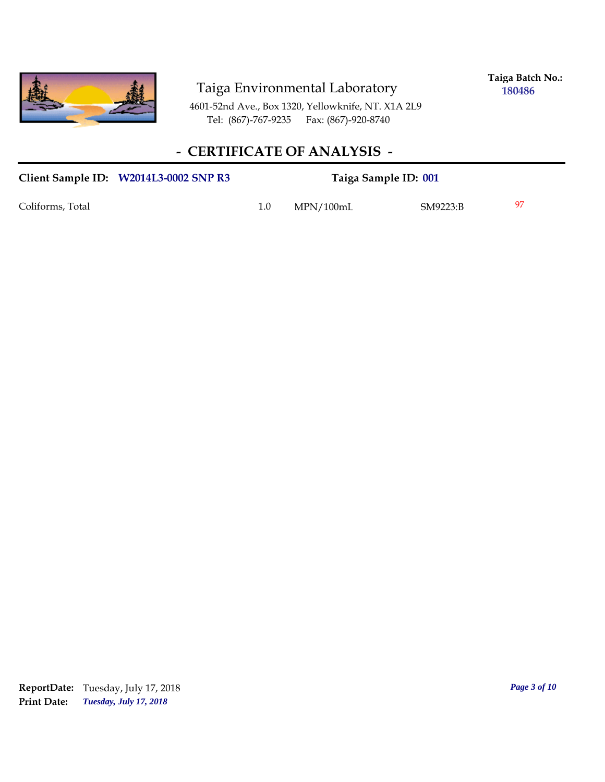

**Taiga Batch No.: 180486**

4601-52nd Ave., Box 1320, Yellowknife, NT. X1A 2L9 Tel: (867)-767-9235 Fax: (867)-920-8740

## **- CERTIFICATE OF ANALYSIS -**

| Client Sample ID: W2014L3-0002 SNP R3 |     | Taiga Sample ID: 001 |          |     |
|---------------------------------------|-----|----------------------|----------|-----|
| Coliforms, Total                      | 1.0 | MPN/100mL            | SM9223:B | -97 |

*Tuesday, July 17, 2018* **Print Date: ReportDate:** Tuesday, July 17, 2018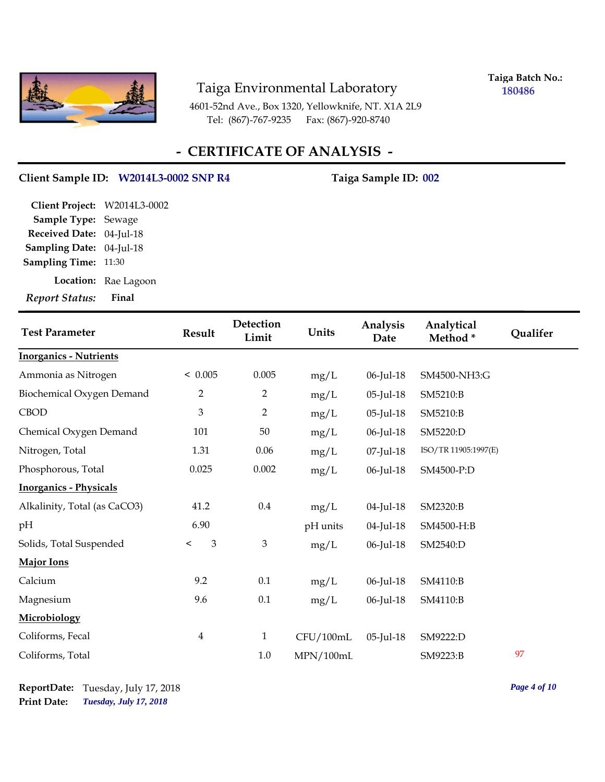

**Taiga Batch No.: 180486**

4601-52nd Ave., Box 1320, Yellowknife, NT. X1A 2L9 Tel: (867)-767-9235 Fax: (867)-920-8740

## **- CERTIFICATE OF ANALYSIS -**

#### Client Sample ID: W2014L3-0002 SNP R4 Taiga Sample ID: 002

| <b>Report Status:</b>        | Final                |
|------------------------------|----------------------|
|                              | Location: Rae Lagoon |
| <b>Sampling Time: 11:30</b>  |                      |
| Sampling Date: 04-Jul-18     |                      |
| Received Date: 04-Jul-18     |                      |
| Sample Type: Sewage          |                      |
| Client Project: W2014L3-0002 |                      |

| <b>Test Parameter</b>         | Result                    | Detection<br>Limit | Units     | Analysis<br>Date | Analytical<br>Method* | Qualifer |
|-------------------------------|---------------------------|--------------------|-----------|------------------|-----------------------|----------|
| <b>Inorganics - Nutrients</b> |                           |                    |           |                  |                       |          |
| Ammonia as Nitrogen           | < 0.005                   | 0.005              | mg/L      | 06-Jul-18        | SM4500-NH3:G          |          |
| Biochemical Oxygen Demand     | $\overline{2}$            | $\overline{2}$     | mg/L      | 05-Jul-18        | SM5210:B              |          |
| <b>CBOD</b>                   | $\mathfrak{Z}$            | $\overline{2}$     | mg/L      | 05-Jul-18        | SM5210:B              |          |
| Chemical Oxygen Demand        | 101                       | 50                 | mg/L      | 06-Jul-18        | SM5220:D              |          |
| Nitrogen, Total               | 1.31                      | 0.06               | mg/L      | 07-Jul-18        | ISO/TR 11905:1997(E)  |          |
| Phosphorous, Total            | 0.025                     | 0.002              | mg/L      | 06-Jul-18        | SM4500-P:D            |          |
| <b>Inorganics - Physicals</b> |                           |                    |           |                  |                       |          |
| Alkalinity, Total (as CaCO3)  | 41.2                      | $0.4\,$            | mg/L      | 04-Jul-18        | SM2320:B              |          |
| pH                            | 6.90                      |                    | pH units  | 04-Jul-18        | SM4500-H:B            |          |
| Solids, Total Suspended       | $\mathfrak{Z}$<br>$\,<\,$ | 3                  | mg/L      | 06-Jul-18        | SM2540:D              |          |
| Major Ions                    |                           |                    |           |                  |                       |          |
| Calcium                       | 9.2                       | 0.1                | mg/L      | 06-Jul-18        | SM4110:B              |          |
| Magnesium                     | 9.6                       | 0.1                | mg/L      | 06-Jul-18        | SM4110:B              |          |
| Microbiology                  |                           |                    |           |                  |                       |          |
| Coliforms, Fecal              | $\overline{\mathbf{4}}$   | $\mathbf{1}$       | CFU/100mL | $05$ -Jul-18     | SM9222:D              |          |
| Coliforms, Total              |                           | 1.0                | MPN/100mL |                  | SM9223:B              | 97       |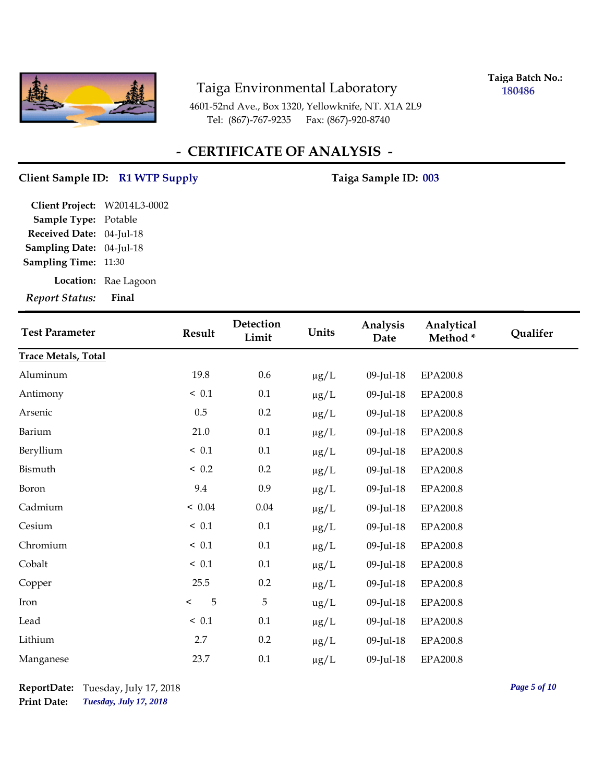

**Taiga Batch No.: 180486**

4601-52nd Ave., Box 1320, Yellowknife, NT. X1A 2L9 Tel: (867)-767-9235 Fax: (867)-920-8740

## **- CERTIFICATE OF ANALYSIS -**

# Client Sample ID: R1 WTP Supply **Client Sample ID: 003**

| <b>Report Status:</b>        | Final                |
|------------------------------|----------------------|
|                              | Location: Rae Lagoon |
| <b>Sampling Time: 11:30</b>  |                      |
| Sampling Date: 04-Jul-18     |                      |
| Received Date: 04-Jul-18     |                      |
| Sample Type: Potable         |                      |
| Client Project: W2014L3-0002 |                      |
|                              |                      |

| <b>Test Parameter</b>      | Result       | Detection<br>Limit | Units     | Analysis<br>Date | Analytical<br>Method* | Qualifer |
|----------------------------|--------------|--------------------|-----------|------------------|-----------------------|----------|
| <b>Trace Metals, Total</b> |              |                    |           |                  |                       |          |
| Aluminum                   | 19.8         | $0.6\,$            | $\mu g/L$ | 09-Jul-18        | EPA200.8              |          |
| Antimony                   | ~< 0.1       | 0.1                | $\mu g/L$ | 09-Jul-18        | <b>EPA200.8</b>       |          |
| Arsenic                    | $0.5\,$      | 0.2                | $\mu g/L$ | 09-Jul-18        | EPA200.8              |          |
| Barium                     | 21.0         | 0.1                | $\mu g/L$ | 09-Jul-18        | EPA200.8              |          |
| Beryllium                  | $\leq 0.1$   | 0.1                | $\mu g/L$ | 09-Jul-18        | <b>EPA200.8</b>       |          |
| Bismuth                    | < 0.2        | 0.2                | $\mu g/L$ | 09-Jul-18        | EPA200.8              |          |
| Boron                      | 9.4          | 0.9                | $\mu g/L$ | 09-Jul-18        | <b>EPA200.8</b>       |          |
| Cadmium                    | < 0.04       | 0.04               | $\mu g/L$ | 09-Jul-18        | EPA200.8              |          |
| Cesium                     | $\leq 0.1$   | $0.1\,$            | $\mu g/L$ | 09-Jul-18        | EPA200.8              |          |
| Chromium                   | ~< 0.1       | 0.1                | $\mu g/L$ | 09-Jul-18        | EPA200.8              |          |
| Cobalt                     | $\leq 0.1$   | 0.1                | $\mu g/L$ | 09-Jul-18        | EPA200.8              |          |
| Copper                     | 25.5         | 0.2                | $\mu g/L$ | 09-Jul-18        | EPA200.8              |          |
| Iron                       | 5<br>$\,<\,$ | 5                  | ug/L      | 09-Jul-18        | EPA200.8              |          |
| Lead                       | ~< 0.1       | 0.1                | $\mu g/L$ | 09-Jul-18        | <b>EPA200.8</b>       |          |
| Lithium                    | 2.7          | 0.2                | $\mu g/L$ | 09-Jul-18        | EPA200.8              |          |
| Manganese                  | 23.7         | $0.1\,$            | $\mu g/L$ | 09-Jul-18        | EPA200.8              |          |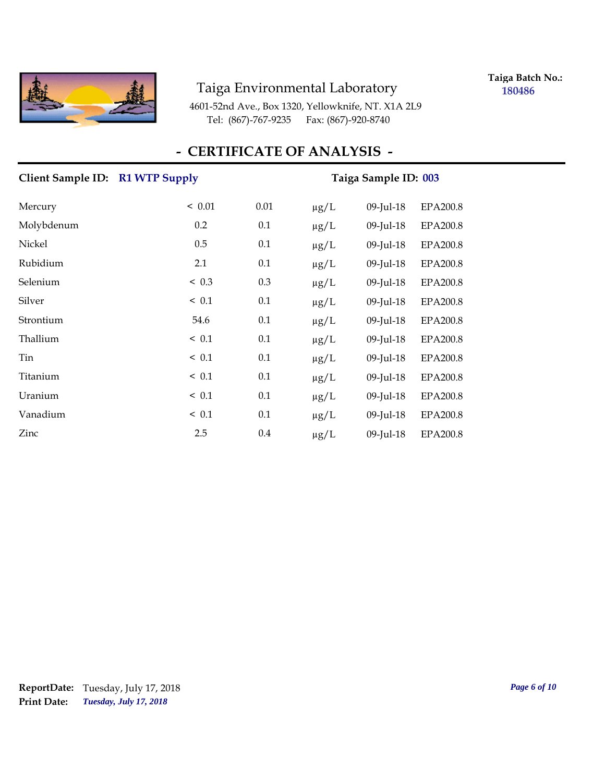

**Taiga Batch No.: 180486**

4601-52nd Ave., Box 1320, Yellowknife, NT. X1A 2L9 Tel: (867)-767-9235 Fax: (867)-920-8740

#### **- CERTIFICATE OF ANALYSIS -**

# Client Sample ID: R1 WTP Supply Taiga Sample ID: 003 Mercury < 0.01 0.01 µg/L 09-Jul-18 EPA200.8 Molybdenum 0.2 0.1 µg/L 09-Jul-18 EPA200.8 Nickel 0.5 0.1 µg/L 09-Jul-18 EPA200.8 Rubidium 2.1 0.1 µg/L 09-Jul-18 EPA200.8 Selenium < 0.3 0.3 µg/L 09-Jul-18 EPA200.8 Silver < 0.1 0.1 µg/L 09-Jul-18 EPA200.8 Strontium 54.6 0.1 µg/L 09-Jul-18 EPA200.8 Thallium  $\leq 0.1$   $0.1$   $\mu$ g/L 09-Jul-18 EPA200.8 Tin  $\leq 0.1$   $0.1$   $\mu$ g/L 09-Jul-18 EPA200.8 Titanium < 0.1 0.1 µg/L 09-Jul-18 EPA200.8 Uranium < 0.1 0.1 µg/L 09-Jul-18 EPA200.8 Vanadium  $\leq 0.1$  0.1  $\mu g/L$  09-Jul-18 EPA200.8  $\chi$  2.5 0.4  $\mu$ g/L 09-Jul-18 EPA200.8

*Tuesday, July 17, 2018* **Print Date: ReportDate:** Tuesday, July 17, 2018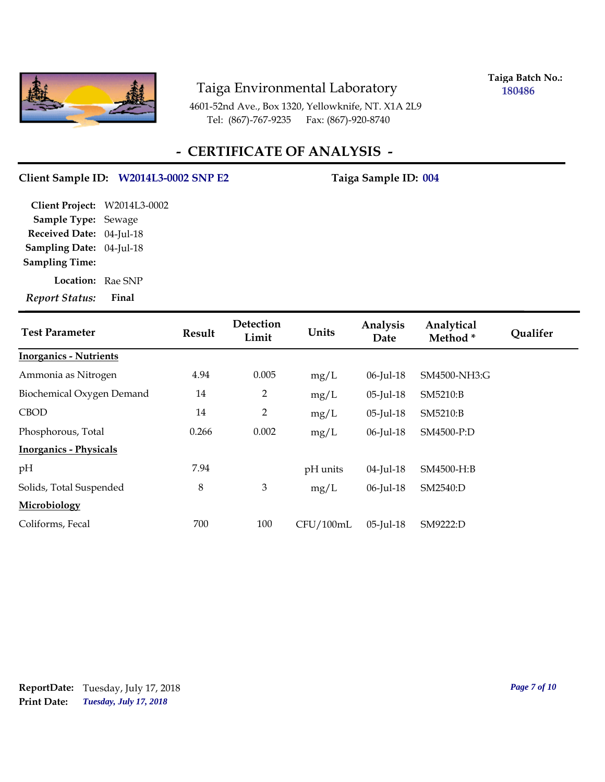

**Taiga Batch No.: 180486**

4601-52nd Ave., Box 1320, Yellowknife, NT. X1A 2L9 Tel: (867)-767-9235 Fax: (867)-920-8740

### **- CERTIFICATE OF ANALYSIS -**

#### Client Sample ID: W2014L3-0002 SNP E2 Taiga Sample ID: 004

**Location:** Rae SNP **Sampling Date:** 04-Jul-18 **Received Date:** 04-Jul-18 **Client Project:** W2014L3-0002 **Sample Type:** Sewage **Sampling Time:**

*Report Status:* **Final**

| <b>Test Parameter</b>         | Result | Detection<br>Limit | Units     | Analysis<br>Date | Analytical<br>Method* | <b>Qualifer</b> |
|-------------------------------|--------|--------------------|-----------|------------------|-----------------------|-----------------|
| <b>Inorganics - Nutrients</b> |        |                    |           |                  |                       |                 |
| Ammonia as Nitrogen           | 4.94   | 0.005              | mg/L      | 06-Jul-18        | SM4500-NH3:G          |                 |
| Biochemical Oxygen Demand     | 14     | 2                  | mg/L      | 05-Jul-18        | SM5210:B              |                 |
| <b>CBOD</b>                   | 14     | $\overline{2}$     | mg/L      | 05-Jul-18        | SM5210:B              |                 |
| Phosphorous, Total            | 0.266  | 0.002              | mg/L      | 06-Jul-18        | SM4500-P:D            |                 |
| <b>Inorganics - Physicals</b> |        |                    |           |                  |                       |                 |
| pH                            | 7.94   |                    | pH units  | 04-Jul-18        | SM4500-H:B            |                 |
| Solids, Total Suspended       | 8      | 3                  | mg/L      | 06-Jul-18        | SM2540:D              |                 |
| Microbiology                  |        |                    |           |                  |                       |                 |
| Coliforms, Fecal              | 700    | 100                | CFU/100mL | $05$ -Jul-18     | SM9222:D              |                 |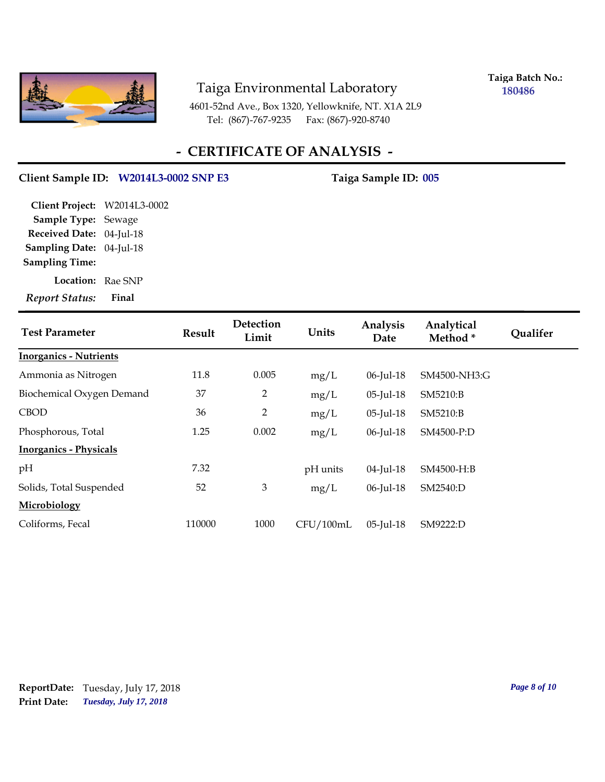

**Taiga Batch No.: 180486**

4601-52nd Ave., Box 1320, Yellowknife, NT. X1A 2L9 Tel: (867)-767-9235 Fax: (867)-920-8740

### **- CERTIFICATE OF ANALYSIS -**

#### Client Sample ID: W2014L3-0002 SNP E3 Taiga Sample ID: 005

**Location:** Rae SNP **Sampling Date:** 04-Jul-18 **Received Date:** 04-Jul-18 **Client Project:** W2014L3-0002 **Sample Type:** Sewage **Sampling Time:**

*Report Status:* **Final**

| <b>Test Parameter</b>         | Result | Detection<br>Limit | Units     | Analysis<br>Date | Analytical<br>Method* | <b>Qualifer</b> |
|-------------------------------|--------|--------------------|-----------|------------------|-----------------------|-----------------|
| <b>Inorganics - Nutrients</b> |        |                    |           |                  |                       |                 |
| Ammonia as Nitrogen           | 11.8   | 0.005              | mg/L      | 06-Jul-18        | SM4500-NH3:G          |                 |
| Biochemical Oxygen Demand     | 37     | $\overline{2}$     | mg/L      | 05-Jul-18        | SM5210:B              |                 |
| <b>CBOD</b>                   | 36     | $\overline{2}$     | mg/L      | 05-Jul-18        | SM5210:B              |                 |
| Phosphorous, Total            | 1.25   | 0.002              | mg/L      | 06-Jul-18        | SM4500-P:D            |                 |
| <b>Inorganics - Physicals</b> |        |                    |           |                  |                       |                 |
| pH                            | 7.32   |                    | pH units  | 04-Jul-18        | SM4500-H:B            |                 |
| Solids, Total Suspended       | 52     | 3                  | mg/L      | 06-Jul-18        | SM2540:D              |                 |
| Microbiology                  |        |                    |           |                  |                       |                 |
| Coliforms, Fecal              | 110000 | 1000               | CFU/100mL | 05-Jul-18        | SM9222:D              |                 |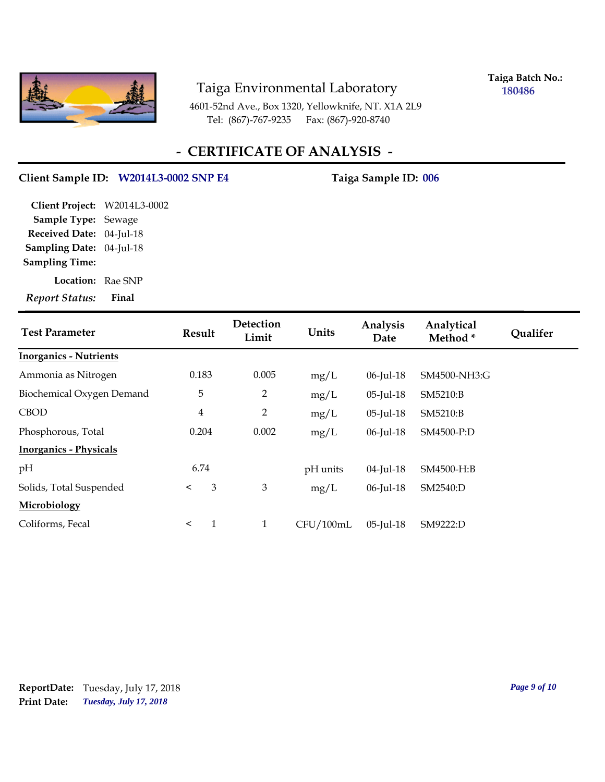

**Taiga Batch No.: 180486**

4601-52nd Ave., Box 1320, Yellowknife, NT. X1A 2L9 Tel: (867)-767-9235 Fax: (867)-920-8740

## **- CERTIFICATE OF ANALYSIS -**

#### Client Sample ID: W2014L3-0002 SNP E4 Taiga Sample ID: 006

**Location:** Rae SNP **Sampling Date:** 04-Jul-18 **Received Date:** 04-Jul-18 **Client Project:** W2014L3-0002 **Sample Type:** Sewage **Sampling Time:**

*Report Status:* **Final**

| <b>Test Parameter</b>         | Result         | Detection<br>Limit | Units     | Analysis<br>Date | Analytical<br>Method* | <b>Qualifer</b> |
|-------------------------------|----------------|--------------------|-----------|------------------|-----------------------|-----------------|
| <b>Inorganics - Nutrients</b> |                |                    |           |                  |                       |                 |
| Ammonia as Nitrogen           | 0.183          | 0.005              | mg/L      | 06-Jul-18        | SM4500-NH3:G          |                 |
| Biochemical Oxygen Demand     | 5              | $\overline{2}$     | mg/L      | 05-Jul-18        | SM5210:B              |                 |
| <b>CBOD</b>                   | $\overline{4}$ | $\overline{2}$     | mg/L      | 05-Jul-18        | SM5210:B              |                 |
| Phosphorous, Total            | 0.204          | 0.002              | mg/L      | 06-Jul-18        | SM4500-P:D            |                 |
| <b>Inorganics - Physicals</b> |                |                    |           |                  |                       |                 |
| pH                            | 6.74           |                    | pH units  | 04-Jul-18        | SM4500-H:B            |                 |
| Solids, Total Suspended       | 3<br>$\prec$   | 3                  | mg/L      | 06-Jul-18        | SM2540:D              |                 |
| Microbiology                  |                |                    |           |                  |                       |                 |
| Coliforms, Fecal              | $\prec$        | $\mathbf{1}$       | CFU/100mL | 05-Jul-18        | SM9222:D              |                 |